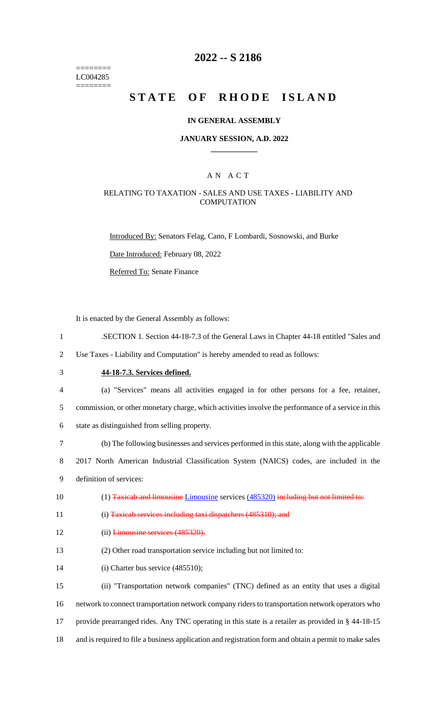======== LC004285 ========

## **2022 -- S 2186**

# **STATE OF RHODE ISLAND**

### **IN GENERAL ASSEMBLY**

#### **JANUARY SESSION, A.D. 2022 \_\_\_\_\_\_\_\_\_\_\_\_**

## A N A C T

## RELATING TO TAXATION - SALES AND USE TAXES - LIABILITY AND **COMPUTATION**

Introduced By: Senators Felag, Cano, F Lombardi, Sosnowski, and Burke

Date Introduced: February 08, 2022

Referred To: Senate Finance

It is enacted by the General Assembly as follows:

1 .SECTION 1. Section 44-18-7.3 of the General Laws in Chapter 44-18 entitled "Sales and

2 Use Taxes - Liability and Computation" is hereby amended to read as follows:

# 3 **44-18-7.3. Services defined.**

4 (a) "Services" means all activities engaged in for other persons for a fee, retainer,

5 commission, or other monetary charge, which activities involve the performance of a service in this

6 state as distinguished from selling property.

7 (b) The following businesses and services performed in this state, along with the applicable

8 2017 North American Industrial Classification System (NAICS) codes, are included in the 9 definition of services:

10 (1) Taxicab and limousine Limousine services (485320) including but not limited to:

11 (i) Taxicab services including taxi dispatchers (485310); and

- 12 (ii) Limousine services (485320).
- 13 (2) Other road transportation service including but not limited to:
- 14 (i) Charter bus service (485510);

 (ii) "Transportation network companies" (TNC) defined as an entity that uses a digital network to connect transportation network company riders to transportation network operators who provide prearranged rides. Any TNC operating in this state is a retailer as provided in § 44-18-15 and is required to file a business application and registration form and obtain a permit to make sales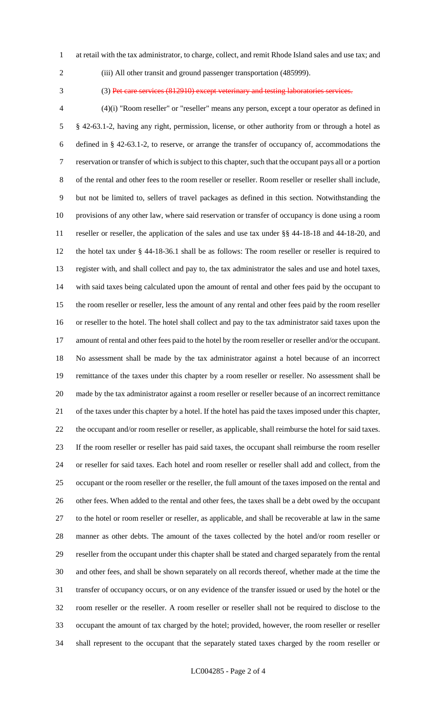- at retail with the tax administrator, to charge, collect, and remit Rhode Island sales and use tax; and
- 

(iii) All other transit and ground passenger transportation (485999).

(3) Pet care services (812910) except veterinary and testing laboratories services.

 (4)(i) "Room reseller" or "reseller" means any person, except a tour operator as defined in § 42-63.1-2, having any right, permission, license, or other authority from or through a hotel as defined in § 42-63.1-2, to reserve, or arrange the transfer of occupancy of, accommodations the reservation or transfer of which is subject to this chapter, such that the occupant pays all or a portion of the rental and other fees to the room reseller or reseller. Room reseller or reseller shall include, but not be limited to, sellers of travel packages as defined in this section. Notwithstanding the provisions of any other law, where said reservation or transfer of occupancy is done using a room reseller or reseller, the application of the sales and use tax under §§ 44-18-18 and 44-18-20, and the hotel tax under § 44-18-36.1 shall be as follows: The room reseller or reseller is required to register with, and shall collect and pay to, the tax administrator the sales and use and hotel taxes, with said taxes being calculated upon the amount of rental and other fees paid by the occupant to the room reseller or reseller, less the amount of any rental and other fees paid by the room reseller or reseller to the hotel. The hotel shall collect and pay to the tax administrator said taxes upon the amount of rental and other fees paid to the hotel by the room reseller or reseller and/or the occupant. No assessment shall be made by the tax administrator against a hotel because of an incorrect remittance of the taxes under this chapter by a room reseller or reseller. No assessment shall be made by the tax administrator against a room reseller or reseller because of an incorrect remittance of the taxes under this chapter by a hotel. If the hotel has paid the taxes imposed under this chapter, the occupant and/or room reseller or reseller, as applicable, shall reimburse the hotel for said taxes. If the room reseller or reseller has paid said taxes, the occupant shall reimburse the room reseller or reseller for said taxes. Each hotel and room reseller or reseller shall add and collect, from the occupant or the room reseller or the reseller, the full amount of the taxes imposed on the rental and other fees. When added to the rental and other fees, the taxes shall be a debt owed by the occupant to the hotel or room reseller or reseller, as applicable, and shall be recoverable at law in the same manner as other debts. The amount of the taxes collected by the hotel and/or room reseller or reseller from the occupant under this chapter shall be stated and charged separately from the rental and other fees, and shall be shown separately on all records thereof, whether made at the time the transfer of occupancy occurs, or on any evidence of the transfer issued or used by the hotel or the room reseller or the reseller. A room reseller or reseller shall not be required to disclose to the occupant the amount of tax charged by the hotel; provided, however, the room reseller or reseller shall represent to the occupant that the separately stated taxes charged by the room reseller or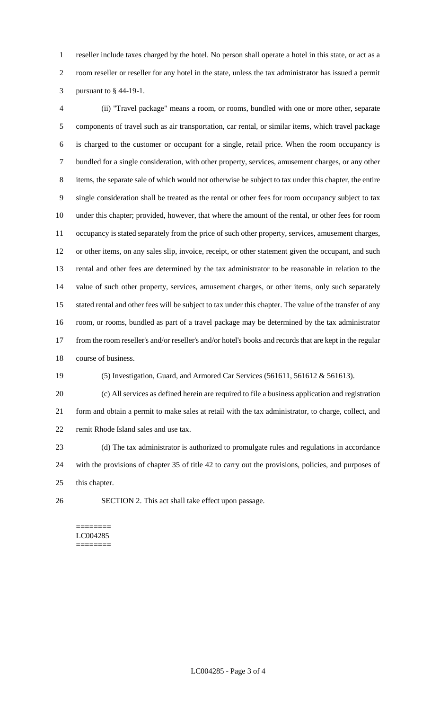reseller include taxes charged by the hotel. No person shall operate a hotel in this state, or act as a room reseller or reseller for any hotel in the state, unless the tax administrator has issued a permit pursuant to § 44-19-1.

 (ii) "Travel package" means a room, or rooms, bundled with one or more other, separate components of travel such as air transportation, car rental, or similar items, which travel package is charged to the customer or occupant for a single, retail price. When the room occupancy is bundled for a single consideration, with other property, services, amusement charges, or any other items, the separate sale of which would not otherwise be subject to tax under this chapter, the entire single consideration shall be treated as the rental or other fees for room occupancy subject to tax under this chapter; provided, however, that where the amount of the rental, or other fees for room occupancy is stated separately from the price of such other property, services, amusement charges, or other items, on any sales slip, invoice, receipt, or other statement given the occupant, and such rental and other fees are determined by the tax administrator to be reasonable in relation to the value of such other property, services, amusement charges, or other items, only such separately stated rental and other fees will be subject to tax under this chapter. The value of the transfer of any room, or rooms, bundled as part of a travel package may be determined by the tax administrator from the room reseller's and/or reseller's and/or hotel's books and records that are kept in the regular course of business.

(5) Investigation, Guard, and Armored Car Services (561611, 561612 & 561613).

 (c) All services as defined herein are required to file a business application and registration form and obtain a permit to make sales at retail with the tax administrator, to charge, collect, and remit Rhode Island sales and use tax.

 (d) The tax administrator is authorized to promulgate rules and regulations in accordance with the provisions of chapter 35 of title 42 to carry out the provisions, policies, and purposes of this chapter.

SECTION 2. This act shall take effect upon passage.

#### ======== LC004285 ========